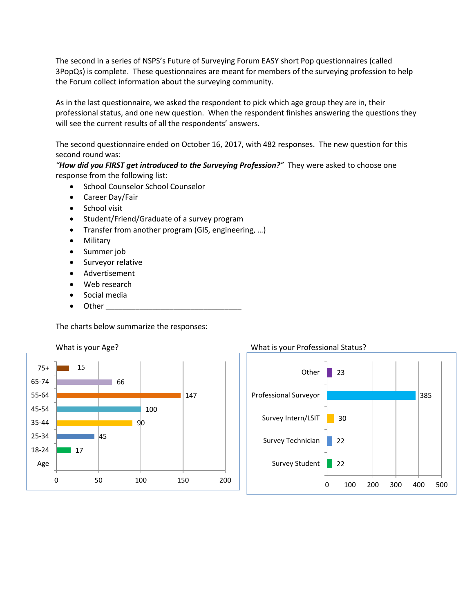The second in a series of NSPS's Future of Surveying Forum EASY short Pop questionnaires (called 3PopQs) is complete. These questionnaires are meant for members of the surveying profession to help the Forum collect information about the surveying community.

As in the last questionnaire, we asked the respondent to pick which age group they are in, their professional status, and one new question. When the respondent finishes answering the questions they will see the current results of all the respondents' answers.

The second questionnaire ended on October 16, 2017, with 482 responses. The new question for this second round was:

*"How did you FIRST get introduced to the Surveying Profession?"* They were asked to choose one response from the following list:

- School Counselor School Counselor
- Career Day/Fair
- School visit
- Student/Friend/Graduate of a survey program
- Transfer from another program (GIS, engineering, …)
- Military
- Summer job
- Surveyor relative
- Advertisement
- Web research
- Social media
- Other

The charts below summarize the responses:



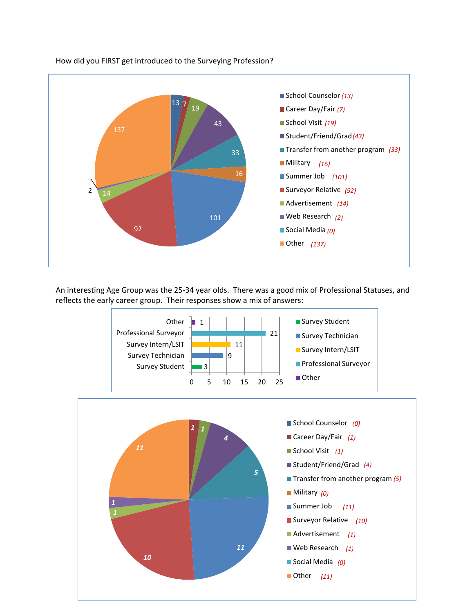

How did you FIRST get introduced to the Surveying Profession?

An interesting Age Group was the 25-34 year olds. There was a good mix of Professional Statuses, and reflects the early career group. Their responses show a mix of answers: